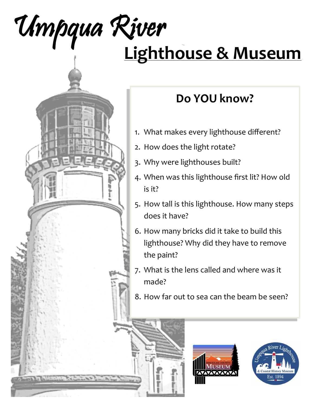

# **Do YOU know?**

- 1. What makes every lighthouse different?
- 2. How does the light rotate?
- 3. Why were lighthouses built?
- 4. When was this lighthouse first lit? How old is it?
- 5. How tall is this lighthouse. How many steps does it have?
- 6. How many bricks did it take to build this lighthouse? Why did they have to remove the paint?
- 7. What is the lens called and where was it made?
- 8. How far out to sea can the beam be seen?